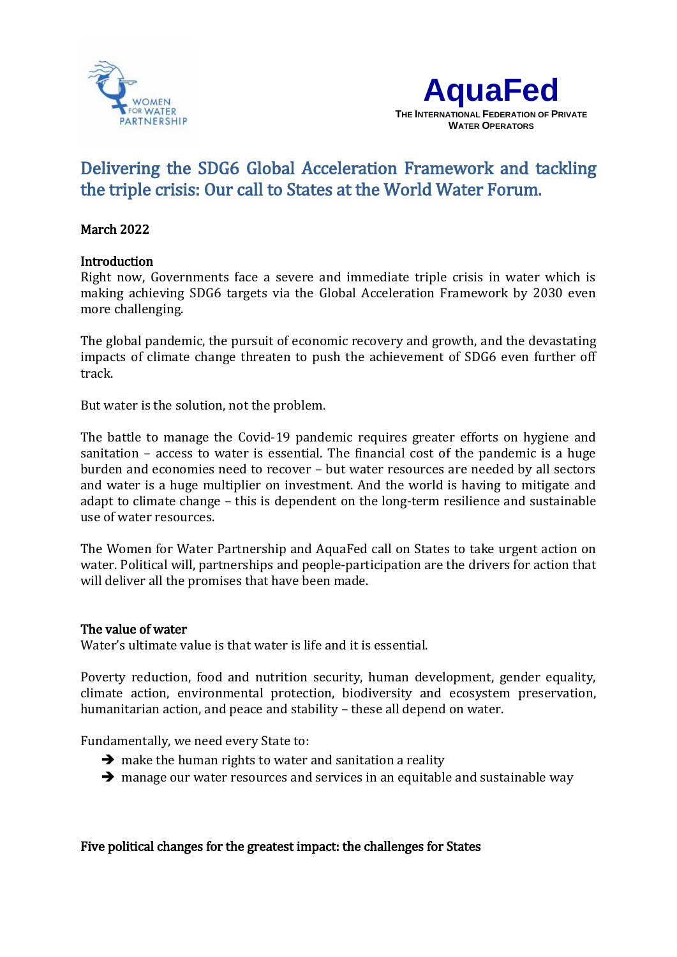



# Delivering the SDG6 Global Acceleration Framework and tackling the triple crisis: Our call to States at the World Water Forum.

## l March 2022

# Introduction

Right now, Governments face a severe and immediate triple crisis in water which is making achieving SDG6 targets via the Global Acceleration Framework by 2030 even more challenging.

The global pandemic, the pursuit of economic recovery and growth, and the devastating impacts of climate change threaten to push the achievement of SDG6 even further off track.

But water is the solution, not the problem.

The battle to manage the Covid-19 pandemic requires greater efforts on hygiene and sanitation – access to water is essential. The financial cost of the pandemic is a huge burden and economies need to recover – but water resources are needed by all sectors and water is a huge multiplier on investment. And the world is having to mitigate and adapt to climate change – this is dependent on the long-term resilience and sustainable use of water resources.

The Women for Water Partnership and AquaFed call on States to take urgent action on water. Political will, partnerships and people-participation are the drivers for action that will deliver all the promises that have been made.

#### The value of water

Water's ultimate value is that water is life and it is essential.

Poverty reduction, food and nutrition security, human development, gender equality, climate action, environmental protection, biodiversity and ecosystem preservation, humanitarian action, and peace and stability – these all depend on water.

Fundamentally, we need every State to:

- $\rightarrow$  make the human rights to water and sanitation a reality
- $\rightarrow$  manage our water resources and services in an equitable and sustainable way

# Five political changes for the greatest impact: the challenges for States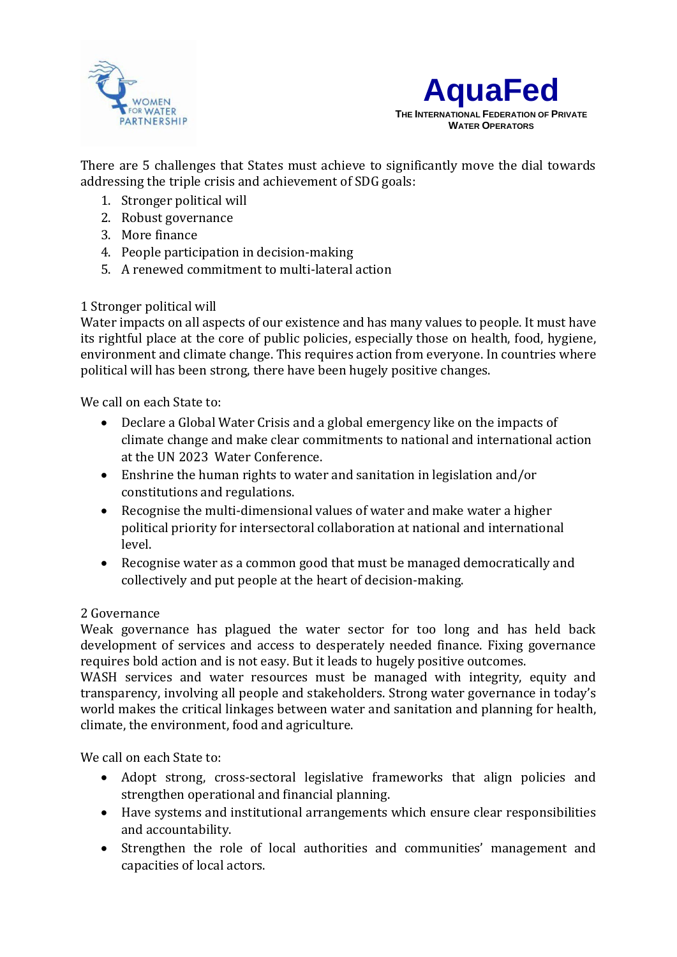



There are 5 challenges that States must achieve to significantly move the dial towards addressing the triple crisis and achievement of SDG goals:

- 1. Stronger political will
- 2. Robust governance
- 3. More finance
- 4. People participation in decision-making
- 5. A renewed commitment to multi-lateral action

### 1 Stronger political will

Water impacts on all aspects of our existence and has many values to people. It must have its rightful place at the core of public policies, especially those on health, food, hygiene, environment and climate change. This requires action from everyone. In countries where political will has been strong, there have been hugely positive changes.

We call on each State to:

- Declare a Global Water Crisis and a global emergency like on the impacts of climate change and make clear commitments to national and international action at the UN 2023 Water Conference.
- Enshrine the human rights to water and sanitation in legislation and/or constitutions and regulations.
- Recognise the multi-dimensional values of water and make water a higher political priority for intersectoral collaboration at national and international level.
- Recognise water as a common good that must be managed democratically and collectively and put people at the heart of decision-making.

#### 2 Governance

Weak governance has plagued the water sector for too long and has held back development of services and access to desperately needed finance. Fixing governance requires bold action and is not easy. But it leads to hugely positive outcomes.

WASH services and water resources must be managed with integrity, equity and transparency, involving all people and stakeholders. Strong water governance in today's world makes the critical linkages between water and sanitation and planning for health, climate, the environment, food and agriculture.

We call on each State to:

- Adopt strong, cross-sectoral legislative frameworks that align policies and strengthen operational and financial planning.
- Have systems and institutional arrangements which ensure clear responsibilities and accountability.
- Strengthen the role of local authorities and communities' management and capacities of local actors.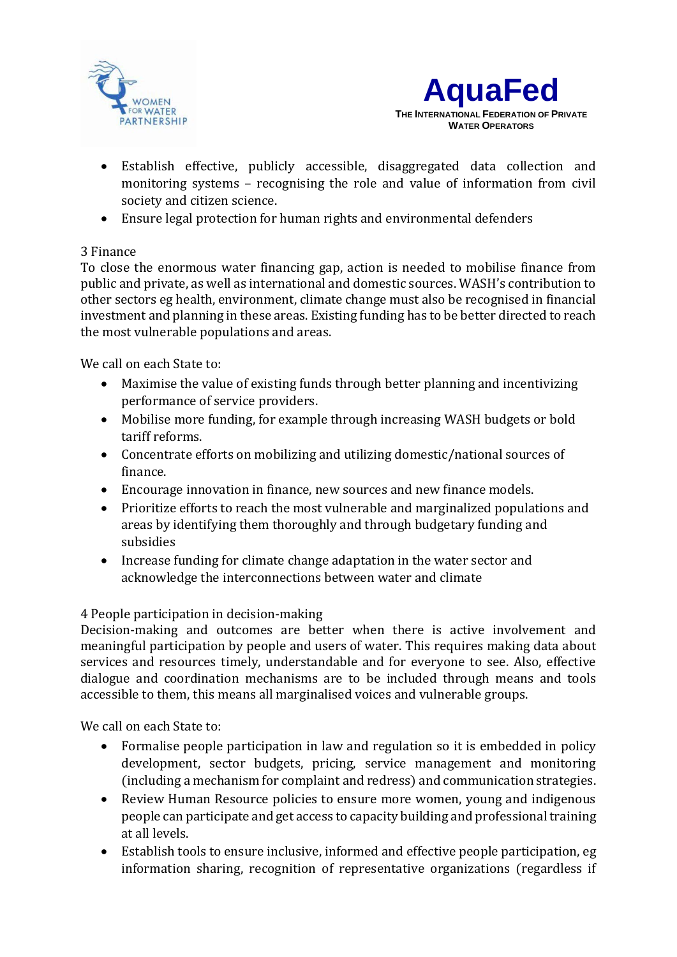



- Establish effective, publicly accessible, disaggregated data collection and monitoring systems – recognising the role and value of information from civil society and citizen science.
- Ensure legal protection for human rights and environmental defenders

# 3 Finance

To close the enormous water financing gap, action is needed to mobilise finance from public and private, as well as international and domestic sources. WASH's contribution to other sectors eg health, environment, climate change must also be recognised in financial investment and planning in these areas. Existing funding has to be better directed to reach the most vulnerable populations and areas.

We call on each State to:

- Maximise the value of existing funds through better planning and incentivizing performance of service providers.
- Mobilise more funding, for example through increasing WASH budgets or bold tariff reforms.
- Concentrate efforts on mobilizing and utilizing domestic/national sources of finance.
- Encourage innovation in finance, new sources and new finance models.
- Prioritize efforts to reach the most vulnerable and marginalized populations and areas by identifying them thoroughly and through budgetary funding and subsidies
- Increase funding for climate change adaptation in the water sector and acknowledge the interconnections between water and climate

# 4 People participation in decision-making

Decision-making and outcomes are better when there is active involvement and meaningful participation by people and users of water. This requires making data about services and resources timely, understandable and for everyone to see. Also, effective dialogue and coordination mechanisms are to be included through means and tools accessible to them, this means all marginalised voices and vulnerable groups.

We call on each State to:

- Formalise people participation in law and regulation so it is embedded in policy development, sector budgets, pricing, service management and monitoring (including a mechanism for complaint and redress) and communication strategies.
- Review Human Resource policies to ensure more women, young and indigenous people can participate and get access to capacity building and professional training at all levels.
- Establish tools to ensure inclusive, informed and effective people participation, eg information sharing, recognition of representative organizations (regardless if